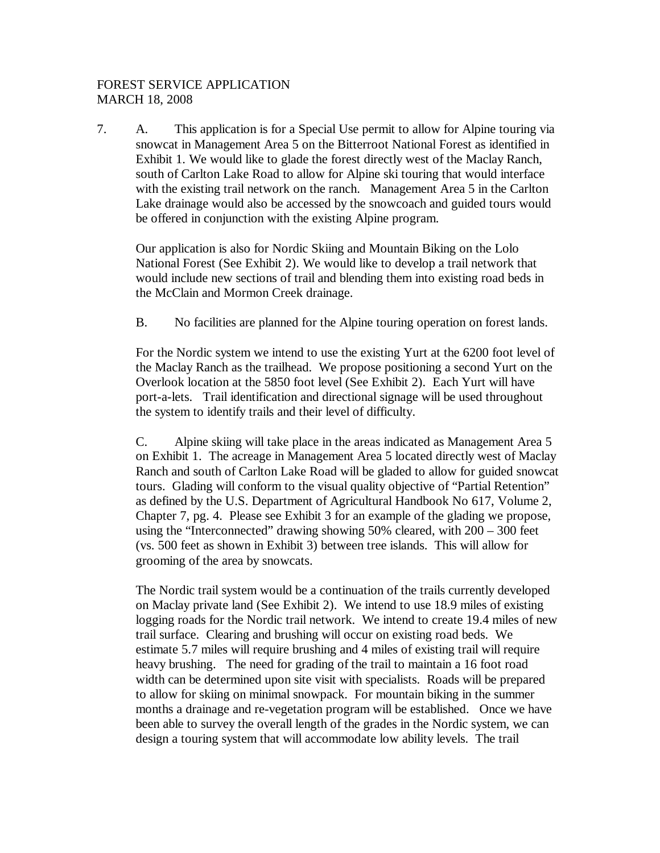## FOREST SERVICE APPLICATION MARCH 18, 2008

7. A. This application is for a Special Use permit to allow for Alpine touring via snowcat in Management Area 5 on the Bitterroot National Forest as identified in Exhibit 1. We would like to glade the forest directly west of the Maclay Ranch, south of Carlton Lake Road to allow for Alpine ski touring that would interface with the existing trail network on the ranch. Management Area 5 in the Carlton Lake drainage would also be accessed by the snowcoach and guided tours would be offered in conjunction with the existing Alpine program.

Our application is also for Nordic Skiing and Mountain Biking on the Lolo National Forest (See Exhibit 2). We would like to develop a trail network that would include new sections of trail and blending them into existing road beds in the McClain and Mormon Creek drainage.

B. No facilities are planned for the Alpine touring operation on forest lands.

For the Nordic system we intend to use the existing Yurt at the 6200 foot level of the Maclay Ranch as the trailhead. We propose positioning a second Yurt on the Overlook location at the 5850 foot level (See Exhibit 2). Each Yurt will have port-a-lets. Trail identification and directional signage will be used throughout the system to identify trails and their level of difficulty.

C. Alpine skiing will take place in the areas indicated as Management Area 5 on Exhibit 1. The acreage in Management Area 5 located directly west of Maclay Ranch and south of Carlton Lake Road will be gladed to allow for guided snowcat tours. Glading will conform to the visual quality objective of "Partial Retention" as defined by the U.S. Department of Agricultural Handbook No 617, Volume 2, Chapter 7, pg. 4. Please see Exhibit 3 for an example of the glading we propose, using the "Interconnected" drawing showing 50% cleared, with 200 – 300 feet (vs. 500 feet as shown in Exhibit 3) between tree islands. This will allow for grooming of the area by snowcats.

The Nordic trail system would be a continuation of the trails currently developed on Maclay private land (See Exhibit 2). We intend to use 18.9 miles of existing logging roads for the Nordic trail network. We intend to create 19.4 miles of new trail surface. Clearing and brushing will occur on existing road beds. We estimate 5.7 miles will require brushing and 4 miles of existing trail will require heavy brushing. The need for grading of the trail to maintain a 16 foot road width can be determined upon site visit with specialists. Roads will be prepared to allow for skiing on minimal snowpack. For mountain biking in the summer months a drainage and re-vegetation program will be established. Once we have been able to survey the overall length of the grades in the Nordic system, we can design a touring system that will accommodate low ability levels. The trail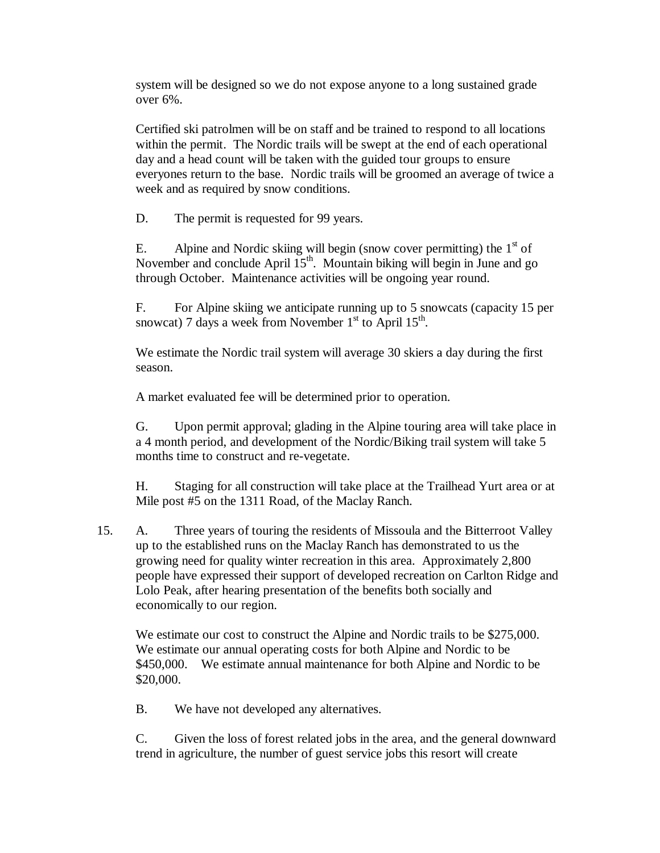system will be designed so we do not expose anyone to a long sustained grade over 6%.

Certified ski patrolmen will be on staff and be trained to respond to all locations within the permit. The Nordic trails will be swept at the end of each operational day and a head count will be taken with the guided tour groups to ensure everyones return to the base. Nordic trails will be groomed an average of twice a week and as required by snow conditions.

D. The permit is requested for 99 years.

E. Alpine and Nordic skiing will begin (snow cover permitting) the  $1<sup>st</sup>$  of November and conclude April  $15<sup>th</sup>$ . Mountain biking will begin in June and go through October. Maintenance activities will be ongoing year round.

F. For Alpine skiing we anticipate running up to 5 snowcats (capacity 15 per snowcat) 7 days a week from November  $1<sup>st</sup>$  to April  $15<sup>th</sup>$ .

We estimate the Nordic trail system will average 30 skiers a day during the first season.

A market evaluated fee will be determined prior to operation.

G. Upon permit approval; glading in the Alpine touring area will take place in a 4 month period, and development of the Nordic/Biking trail system will take 5 months time to construct and re-vegetate.

H. Staging for all construction will take place at the Trailhead Yurt area or at Mile post #5 on the 1311 Road, of the Maclay Ranch.

15. A. Three years of touring the residents of Missoula and the Bitterroot Valley up to the established runs on the Maclay Ranch has demonstrated to us the growing need for quality winter recreation in this area. Approximately 2,800 people have expressed their support of developed recreation on Carlton Ridge and Lolo Peak, after hearing presentation of the benefits both socially and economically to our region.

We estimate our cost to construct the Alpine and Nordic trails to be \$275,000. We estimate our annual operating costs for both Alpine and Nordic to be \$450,000. We estimate annual maintenance for both Alpine and Nordic to be \$20,000.

B. We have not developed any alternatives.

C. Given the loss of forest related jobs in the area, and the general downward trend in agriculture, the number of guest service jobs this resort will create